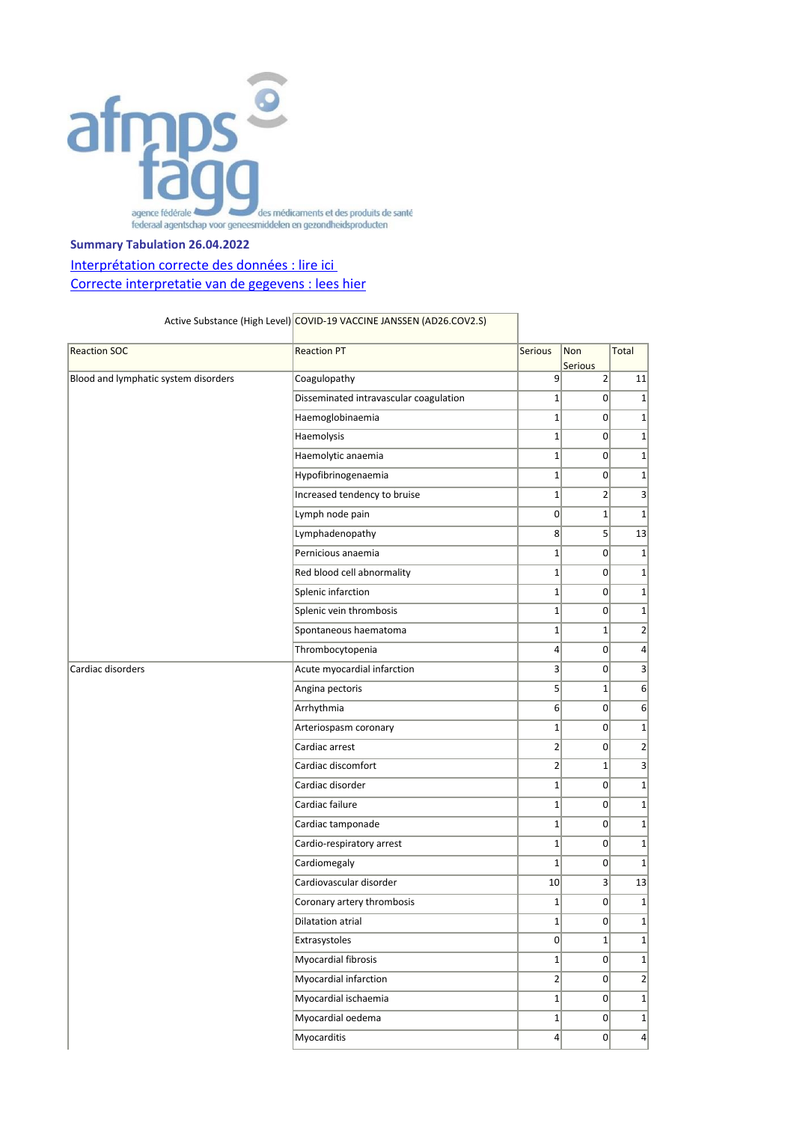

## **Summary Tabulation 26.04.2022**

## Interprétation correcte des données : lire ici [Correcte interpretatie van de gegevens : lees hier](https://www.fagg.be/nl/menselijk_gebruik/geneesmiddelen/geneesmiddelen/covid_19/vaccins/geneesmiddelenbewaking_voor_covid#correcte%20interpretatie)

## Active Substance (High Level) COVID-19 VACCINE JANSSEN (AD26.COV2.S)

| <b>Reaction SOC</b>                  | <b>Reaction PT</b>                     | Serious          | Non<br><b>Serious</b> | <b>Total</b>     |
|--------------------------------------|----------------------------------------|------------------|-----------------------|------------------|
| Blood and lymphatic system disorders | Coagulopathy                           | 9                | $\overline{2}$        | 11               |
|                                      | Disseminated intravascular coagulation | $\mathbf{1}$     | $\overline{0}$        | $\mathbf{1}$     |
|                                      | Haemoglobinaemia                       | $\mathbf{1}$     | $\overline{0}$        | $1\overline{ }$  |
|                                      | Haemolysis                             | $\mathbf{1}$     | $\overline{0}$        | $1\vert$         |
|                                      | Haemolytic anaemia                     | $\mathbf{1}$     | $\Omega$              | $1\vert$         |
|                                      | Hypofibrinogenaemia                    | $\mathbf{1}$     | $\Omega$              | $1\vert$         |
|                                      | Increased tendency to bruise           | $\mathbf 1$      | $\overline{2}$        | $\vert$          |
|                                      | Lymph node pain                        | $\mathbf 0$      | $\mathbf{1}$          | $1\overline{ }$  |
|                                      | Lymphadenopathy                        | 8 <sup>2</sup>   | $5\overline{)}$       | 13               |
|                                      | Pernicious anaemia                     | $\mathbf{1}$     | $\mathbf{0}$          | $1\vert$         |
|                                      | Red blood cell abnormality             | $\mathbf{1}$     | $\Omega$              | $1\vert$         |
|                                      | Splenic infarction                     | $\mathbf 1$      | $\overline{0}$        | $1\vert$         |
|                                      | Splenic vein thrombosis                | $\mathbf{1}$     | 0                     | $1\overline{ }$  |
|                                      | Spontaneous haematoma                  | $\mathbf{1}$     | $\mathbf{1}$          | $\overline{2}$   |
|                                      | Thrombocytopenia                       | $\overline{4}$   | $\overline{0}$        | $\vert$          |
| Cardiac disorders                    | Acute myocardial infarction            | 3                | $\overline{0}$        | $\overline{3}$   |
|                                      | Angina pectoris                        | 5                | $\mathbf{1}$          | $6 \overline{6}$ |
|                                      | Arrhythmia                             | $6 \overline{6}$ | $\overline{0}$        | $6 \overline{6}$ |
|                                      | Arteriospasm coronary                  | $1\,$            | $\overline{0}$        | $1\vert$         |
|                                      | Cardiac arrest                         | $\overline{2}$   | $\overline{0}$        | $\overline{2}$   |
|                                      | Cardiac discomfort                     | $\overline{2}$   | $\mathbf{1}$          | $\overline{3}$   |
|                                      | Cardiac disorder                       | $\mathbf 1$      | $\overline{0}$        | $1\overline{ }$  |
|                                      | Cardiac failure                        | $\mathbf{1}$     | $\overline{0}$        | $1\vert$         |
|                                      | Cardiac tamponade                      | $\mathbf{1}$     | $\Omega$              | $1\vert$         |
|                                      | Cardio-respiratory arrest              | $\mathbf{1}$     | $\Omega$              | $1\overline{ }$  |
|                                      | Cardiomegaly                           | $\mathbf 1$      | $\overline{0}$        | $\mathbf{1}$     |
|                                      | Cardiovascular disorder                | 10               | 3 <sup>2</sup>        | 13               |
|                                      | Coronary artery thrombosis             | $\mathbf{1}$     | $\overline{0}$        | $\mathbf{1}$     |
|                                      | <b>Dilatation atrial</b>               | $\mathbf 1$      | $\Omega$              | $1\overline{ }$  |
|                                      | Extrasystoles                          | 0                | $1\vert$              | $1\vert$         |
|                                      | <b>Myocardial fibrosis</b>             | $1\vert$         | $\overline{0}$        | $1\vert$         |
|                                      | Myocardial infarction                  | 2                | $\overline{0}$        | $\overline{2}$   |
|                                      | Myocardial ischaemia                   | $1\vert$         | 0                     | $1\vert$         |
|                                      | Myocardial oedema                      | 1                | $\overline{0}$        | $1\vert$         |
|                                      | <b>Myocarditis</b>                     | 4                | $\overline{0}$        | $\vert$          |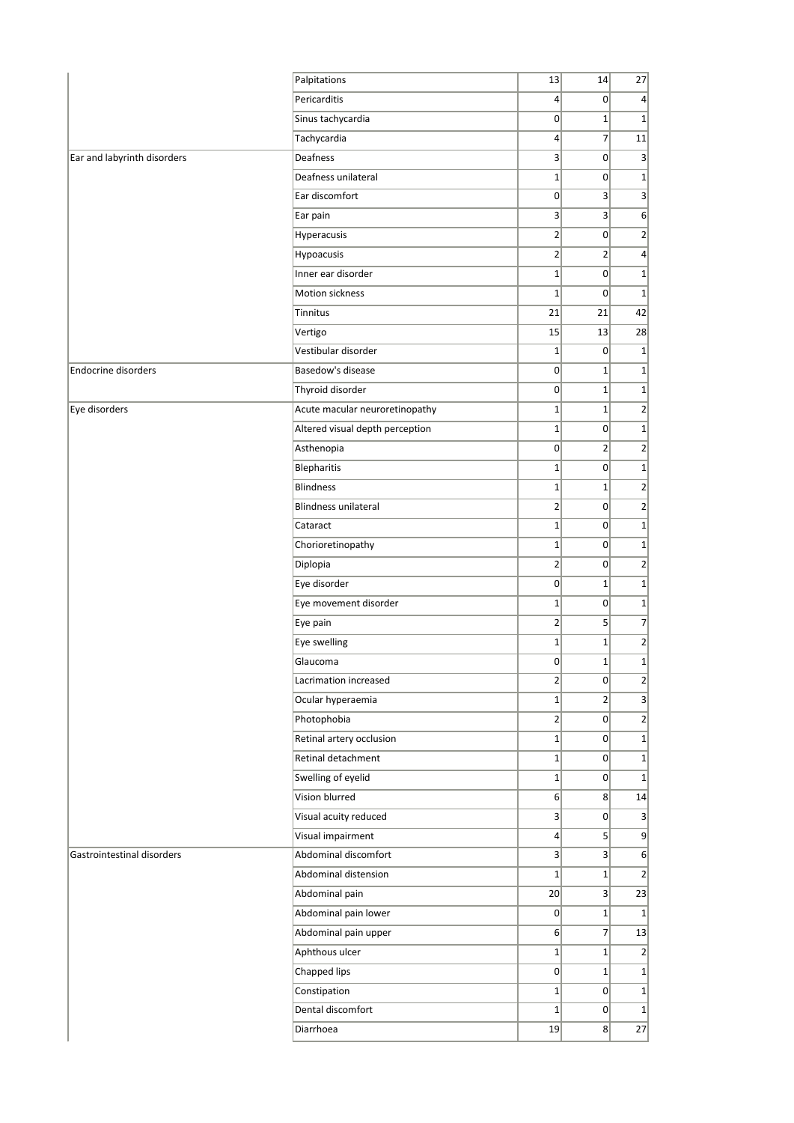|                             | Palpitations                    | 13              | 14             | 27                         |
|-----------------------------|---------------------------------|-----------------|----------------|----------------------------|
|                             | Pericarditis                    | $\vert 4 \vert$ | 0              | $\overline{4}$             |
|                             | Sinus tachycardia               | 0               | $1\vert$       | $\mathbf{1}$               |
|                             | Tachycardia                     | $\vert 4 \vert$ | $\overline{7}$ | 11                         |
| Ear and labyrinth disorders | Deafness                        | 3               | 0              | 3                          |
|                             | Deafness unilateral             | $1\vert$        | 0              | $\mathbf 1$                |
|                             | Ear discomfort                  | $\mathbf 0$     | $\vert$ 3      | 3                          |
|                             | Ear pain                        | 3               | 3 <sup>2</sup> | 6                          |
|                             | Hyperacusis                     | $\overline{2}$  | $\overline{0}$ | $\overline{2}$             |
|                             | Hypoacusis                      | $\overline{2}$  | $\overline{2}$ | $\overline{4}$             |
|                             | Inner ear disorder              | $\mathbf{1}$    | 0              | $\mathbf 1$                |
|                             | Motion sickness                 | $\mathbf{1}$    | 0              | $\mathbf{1}$               |
|                             | Tinnitus                        | 21              | 21             | 42                         |
|                             | Vertigo                         | 15              | 13             | 28                         |
|                             | Vestibular disorder             | $\mathbf{1}$    | $\overline{0}$ | $\mathbf{1}$               |
| Endocrine disorders         | Basedow's disease               | $\mathbf 0$     | $1\vert$       | $\mathbf 1$                |
|                             | Thyroid disorder                | $\overline{0}$  | $1\vert$       | $\mathbf 1$                |
| Eye disorders               | Acute macular neuroretinopathy  | $\mathbf{1}$    | $1\vert$       | $\overline{2}$             |
|                             | Altered visual depth perception | $\mathbf{1}$    | $\sigma$       | $\mathbf 1$                |
|                             | Asthenopia                      | $\mathbf 0$     | $\overline{2}$ | $\mathbf 2$                |
|                             | Blepharitis                     | $\mathbf{1}$    | $\overline{0}$ | $\mathbf 1$                |
|                             | <b>Blindness</b>                | $\mathbf{1}$    | $1\vert$       | $\overline{2}$             |
|                             | <b>Blindness unilateral</b>     | $\overline{2}$  | 0              | $\overline{2}$             |
|                             | Cataract                        | $\mathbf{1}$    | 0              | $\mathbf 1$                |
|                             | Chorioretinopathy               | $\mathbf{1}$    | 0              | $\mathbf 1$                |
|                             | Diplopia                        | $\overline{2}$  | 0              | $\overline{2}$             |
|                             | Eye disorder                    | 0               | $1\vert$       | $\mathbf 1$                |
|                             | Eye movement disorder           | $\mathbf{1}$    | 0              | $\mathbf 1$                |
|                             | Eye pain                        | $\overline{2}$  | 5 <sup>2</sup> | $\overline{7}$             |
|                             | Eye swelling                    | $\mathbf{1}$    | $1\vert$       | $\overline{2}$             |
|                             | Glaucoma                        | 0               | $1\vert$       | $1\vert$                   |
|                             | Lacrimation increased           | $2\vert$        | $\overline{0}$ | $\overline{\mathbf{c}}$    |
|                             | Ocular hyperaemia               | $1\vert$        | 2              | 3                          |
|                             | Photophobia                     | 2               | $\overline{0}$ | $\overline{2}$             |
|                             | Retinal artery occlusion        | $1\vert$        | $\overline{0}$ | $\mathbf 1$                |
|                             | Retinal detachment              | $1\vert$        | 0              | $\mathbf 1$                |
|                             | Swelling of eyelid              | $1\vert$        | $\overline{0}$ | $\mathbf{1}$               |
|                             | Vision blurred                  | 6 <sup>1</sup>  | 8 <sup>1</sup> | 14                         |
|                             | Visual acuity reduced           | 3 <sup>2</sup>  | $\mathbf{0}$   | 3                          |
|                             | Visual impairment               | $\vert 4 \vert$ | $\overline{5}$ | 9                          |
| Gastrointestinal disorders  | Abdominal discomfort            | $\vert$ 3       | 3              | 6                          |
|                             | Abdominal distension            | $1\vert$        | $1\vert$       | $\overline{2}$             |
|                             | Abdominal pain                  | 20              | 3              | 23                         |
|                             | Abdominal pain lower            | 0               | 1              | $\mathbf{1}$               |
|                             | Abdominal pain upper            | 6 <sup>1</sup>  | $\overline{7}$ | 13                         |
|                             | Aphthous ulcer                  | $1\vert$        | $1\vert$       | $\overline{2}$             |
|                             | Chapped lips                    | $\mathbf{0}$    | 1              |                            |
|                             | Constipation                    | $1\vert$        | $\overline{0}$ | $\mathbf 1$                |
|                             | Dental discomfort               | $1\vert$        | $\overline{0}$ | $\mathbf 1$<br>$\mathbf 1$ |
|                             | Diarrhoea                       | 19              | 8 <sup>°</sup> | 27                         |
|                             |                                 |                 |                |                            |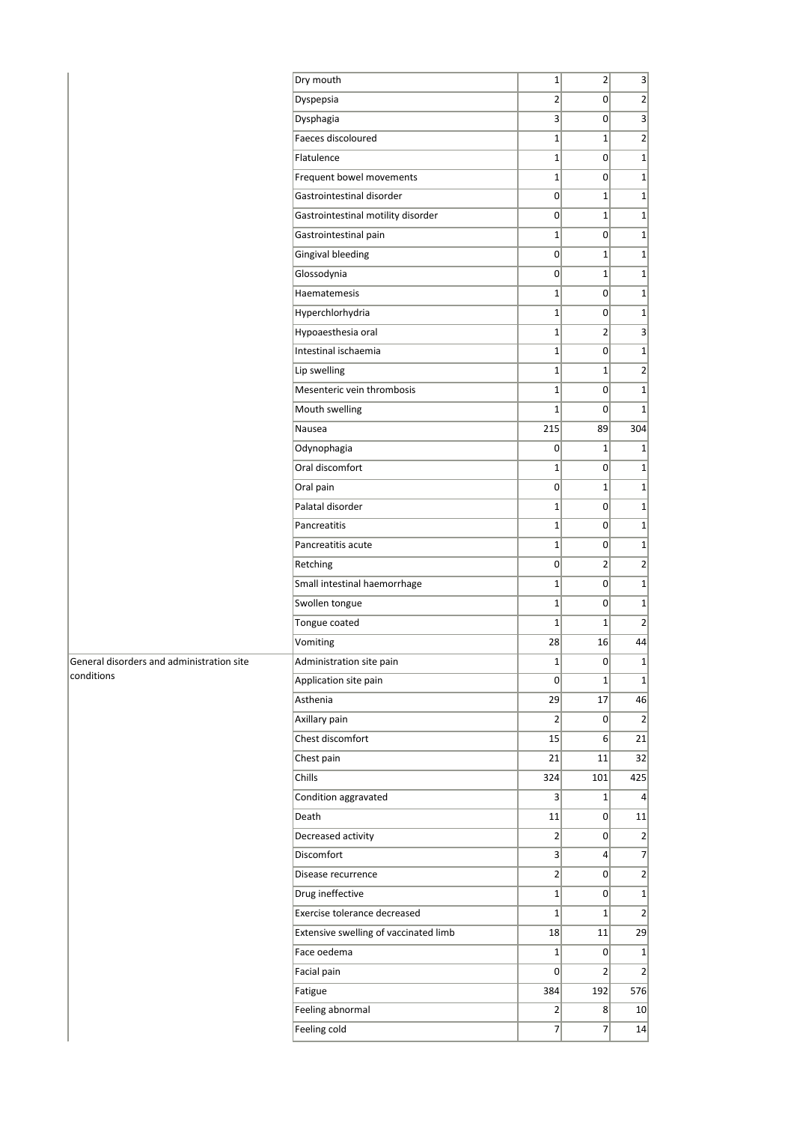|                                           | Dry mouth                             | $\mathbf{1}$   | 2               | $\left  \frac{3}{2} \right $ |
|-------------------------------------------|---------------------------------------|----------------|-----------------|------------------------------|
|                                           | Dyspepsia                             | $\overline{2}$ | $\overline{0}$  | 2                            |
|                                           | Dysphagia                             | 3              | $\overline{0}$  | 3                            |
|                                           | Faeces discoloured                    | $\mathbf{1}$   | $1\vert$        | $\overline{2}$               |
|                                           | Flatulence                            | $\mathbf{1}$   | 0               | $1\vert$                     |
|                                           | Frequent bowel movements              | $1\vert$       | $\overline{0}$  | $1\vert$                     |
|                                           | Gastrointestinal disorder             | $\mathbf 0$    | $1\vert$        | $1\vert$                     |
|                                           | Gastrointestinal motility disorder    | $\mathbf 0$    | $1\vert$        | $1\vert$                     |
|                                           | Gastrointestinal pain                 | $\mathbf{1}$   | $\overline{0}$  | 1                            |
|                                           | <b>Gingival bleeding</b>              | 0              | $1\vert$        | $1\vert$                     |
|                                           | Glossodynia                           | 0              | $1\vert$        | $1\vert$                     |
|                                           | Haematemesis                          | $\mathbf{1}$   | $\Omega$        | 1                            |
|                                           | Hyperchlorhydria                      | $\mathbf{1}$   | 0               | $1\vert$                     |
|                                           | Hypoaesthesia oral                    | $\mathbf 1$    | $\overline{2}$  | $\vert$                      |
|                                           | Intestinal ischaemia                  | $\mathbf{1}$   | $\overline{0}$  | $1\vert$                     |
|                                           | Lip swelling                          | $\mathbf{1}$   | $1\vert$        | 2                            |
|                                           | Mesenteric vein thrombosis            | $\mathbf{1}$   | $\overline{0}$  | $1\vert$                     |
|                                           | Mouth swelling                        | $\mathbf 1$    | 0               | $1\vert$                     |
|                                           | Nausea                                | 215            | 89              | 304                          |
|                                           | Odynophagia                           | $\mathbf 0$    | $1\vert$        | $1\vert$                     |
|                                           | Oral discomfort                       | $\mathbf{1}$   | $\Omega$        | $1\vert$                     |
|                                           | Oral pain                             | $\mathbf 0$    | $1\vert$        | $1\vert$                     |
|                                           | Palatal disorder                      | $\mathbf{1}$   | 0               | 1                            |
|                                           | Pancreatitis                          | $\mathbf{1}$   | 0               | 1                            |
|                                           | Pancreatitis acute                    | $1\vert$       | $\overline{0}$  | $1\vert$                     |
|                                           | Retching                              | $\mathbf 0$    | 2 <sup>2</sup>  | $\overline{2}$               |
|                                           | Small intestinal haemorrhage          | $\mathbf{1}$   | $\overline{0}$  | $1\vert$                     |
|                                           | Swollen tongue                        | $\mathbf{1}$   | 0               | 1                            |
|                                           | Tongue coated                         | $\mathbf{1}$   | $1\vert$        | 2                            |
|                                           | Vomiting                              | 28             | 16              | 44                           |
| General disorders and administration site | Administration site pain              | $\mathbf 1$    | 0               | $1\vert$                     |
| conditions                                | Application site pain                 | 0              | 1               | $1\vert$                     |
|                                           | Asthenia                              | 29             | 17              | 46                           |
|                                           | Axillary pain                         | $\overline{2}$ | $\overline{0}$  | $\overline{2}$               |
|                                           | Chest discomfort                      | 15             | 6 <sup>1</sup>  | 21                           |
|                                           | Chest pain                            | 21             | 11              | 32                           |
|                                           | Chills                                | 324            | 101             | 425                          |
|                                           | Condition aggravated                  | 3              | $1\vert$        | $\vert$                      |
|                                           | Death                                 | 11             | $\overline{0}$  | 11                           |
|                                           | Decreased activity                    | 2              | 0               | 2                            |
|                                           | Discomfort                            | 3 <sup>2</sup> | $\vert 4 \vert$ | 7                            |
|                                           | Disease recurrence                    | $\overline{2}$ | $\overline{0}$  | $\overline{2}$               |
|                                           | Drug ineffective                      | $1\vert$       | $\overline{0}$  | 1                            |
|                                           | Exercise tolerance decreased          | $\mathbf{1}$   | $1\vert$        | $\left  \right $             |
|                                           | Extensive swelling of vaccinated limb | 18             | 11              | 29                           |
|                                           | Face oedema                           | $1\vert$       | 0               | 1                            |
|                                           | Facial pain                           | $\mathbf 0$    | $\overline{2}$  | $\overline{2}$               |
|                                           | Fatigue                               | 384            | 192             | 576                          |
|                                           | Feeling abnormal                      | $\overline{2}$ | 8               | 10 <sup>1</sup>              |
|                                           | Feeling cold                          | $\overline{7}$ | 7               | 14                           |
|                                           |                                       |                |                 |                              |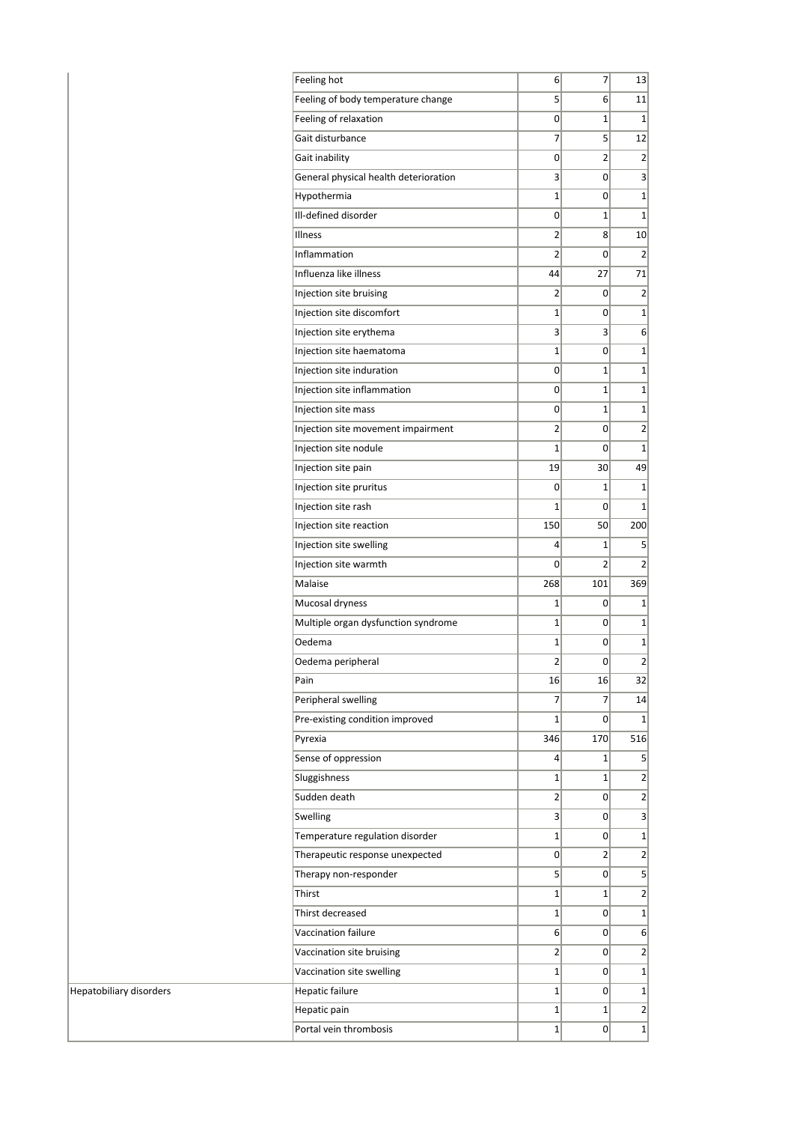| Feeling hot                           | 6              | 7              | 13                      |  |
|---------------------------------------|----------------|----------------|-------------------------|--|
| Feeling of body temperature change    | 5              | 6              | 11                      |  |
| Feeling of relaxation                 | 0              | $\mathbf{1}$   | $\mathbf{1}$            |  |
| Gait disturbance                      | 7              | 5              | 12                      |  |
| Gait inability                        | 0              | $\overline{2}$ | $\overline{2}$          |  |
| General physical health deterioration | 3              | $\mathbf{0}$   | 3                       |  |
| Hypothermia                           | $\mathbf{1}$   | $\overline{0}$ | 1                       |  |
| Ill-defined disorder                  | 0              | $\mathbf{1}$   | $\mathbf{1}$            |  |
| Illness                               | 2              | 8              | 10                      |  |
| Inflammation                          | $\overline{2}$ | 0              | 2                       |  |
| Influenza like illness                | 44             | 27             | 71                      |  |
| Injection site bruising               | 2              | 0              | 2                       |  |
| Injection site discomfort             | $\mathbf{1}$   | $\mathbf{0}$   | $\mathbf{1}$            |  |
| Injection site erythema               | 3              | 3              | $6 \mid$                |  |
| Injection site haematoma              | 1              | 0              | $\mathbf 1$             |  |
| Injection site induration             | 0              | $\mathbf{1}$   | 1                       |  |
| Injection site inflammation           | 0              | $\mathbf{1}$   | $1\vert$                |  |
| Injection site mass                   | 0              | $\mathbf{1}$   | $\mathbf{1}$            |  |
| Injection site movement impairment    | 2 <sup>1</sup> | $\Omega$       | $\mathbf{2}$            |  |
| Injection site nodule                 | $\mathbf{1}$   | 0              | 1                       |  |
| Injection site pain                   | 19             | 30             | 49                      |  |
| Injection site pruritus               | 0              | 1              | 1                       |  |
| Injection site rash                   | $\mathbf{1}$   | $\mathbf{0}$   | $\mathbf{1}$            |  |
| Injection site reaction               | 150            | 50             | 200                     |  |
| Injection site swelling               | $\overline{4}$ | 1              | 5                       |  |
| Injection site warmth                 | $\mathbf{0}$   | 2              | 2                       |  |
| Malaise                               | 268            | 101            | 369                     |  |
| Mucosal dryness                       | $\mathbf{1}$   | 0              | $\mathbf{1}$            |  |
| Multiple organ dysfunction syndrome   | $\mathbf{1}$   | 0              | 1                       |  |
| Oedema                                | 1              | 0              | 1                       |  |
| Oedema peripheral                     | $\overline{2}$ | 0              | $\overline{\mathbf{c}}$ |  |
| Pain                                  | 16             | 16             | 32                      |  |
| Peripheral swelling                   | 7              | 7              | 14                      |  |
| Pre-existing condition improved       | $\mathbf{1}$   | 0              | 1                       |  |
| Pyrexia                               | 346            | 170            | 516                     |  |
| Sense of oppression                   | $\overline{4}$ | $\mathbf{1}$   | 5 <sup>1</sup>          |  |
| Sluggishness                          | $\mathbf{1}$   | $\mathbf{1}$   | 2                       |  |
| Sudden death                          | $\overline{2}$ | $\Omega$       | $\overline{2}$          |  |
| Swelling                              | 3              | 0              | 3                       |  |
| Temperature regulation disorder       | $\mathbf{1}$   | 0              | $1\vert$                |  |
| Therapeutic response unexpected       | 0              | $\overline{2}$ | $\overline{\mathbf{c}}$ |  |
| Therapy non-responder                 | $\overline{5}$ | $\mathbf{0}$   | 5                       |  |
| Thirst                                | $\mathbf{1}$   | $\mathbf{1}$   | 2                       |  |
| Thirst decreased                      | $\mathbf{1}$   | 0              | $\mathbf{1}$            |  |
| Vaccination failure                   | 6              | 0              | $6 \mid$                |  |
| Vaccination site bruising             | $\overline{2}$ | 0              | 2                       |  |
| Vaccination site swelling             | $\mathbf{1}$   | 0              | $\mathbf{1}$            |  |
| Hepatic failure                       | $\mathbf{1}$   | 0              | $\mathbf 1$             |  |
| Hepatic pain                          | $\mathbf{1}$   | $\mathbf{1}$   | 2                       |  |
| Portal vein thrombosis                | $\mathbf{1}$   | $\overline{0}$ | $\mathbf{1}$            |  |
|                                       |                |                |                         |  |

Hepatobiliary disorders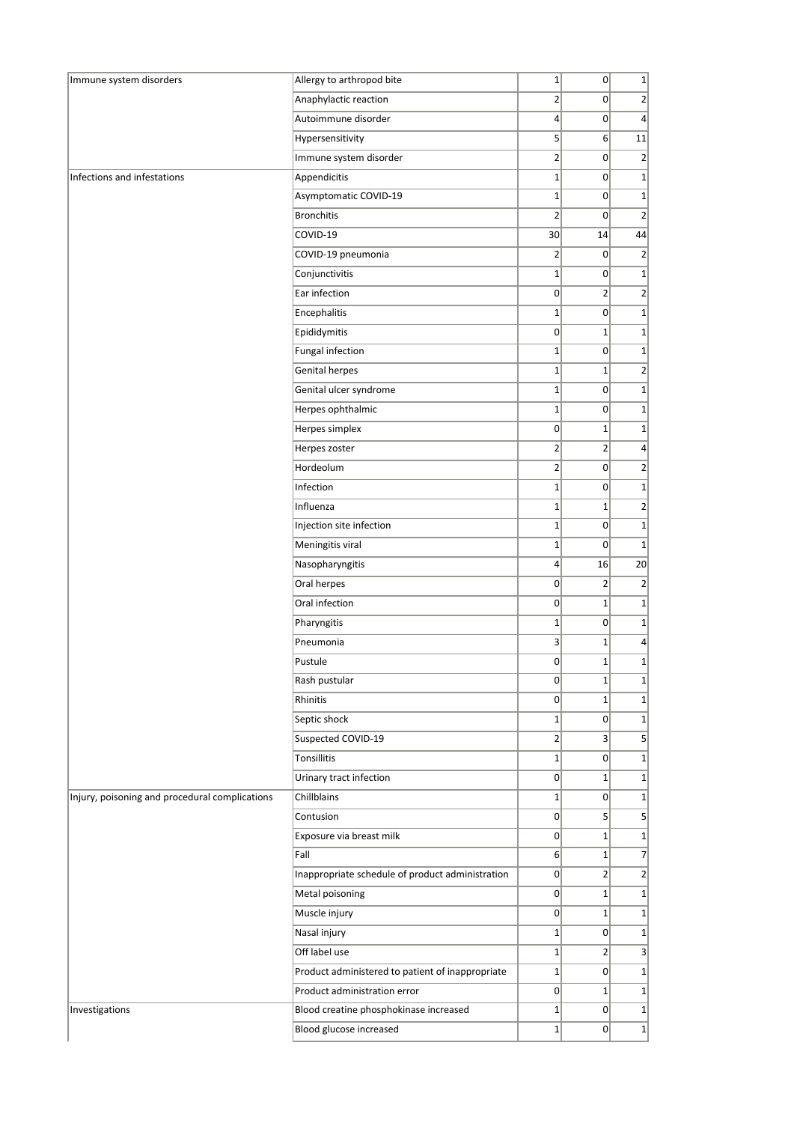| Immune system disorders                        | Allergy to arthropod bite                        | $\mathbf 1$    | 0              | $1\vert$        |
|------------------------------------------------|--------------------------------------------------|----------------|----------------|-----------------|
|                                                | Anaphylactic reaction                            | $\overline{2}$ | 0              | $\overline{2}$  |
|                                                | Autoimmune disorder                              | $\overline{4}$ | 0              | $\vert 4 \vert$ |
|                                                | Hypersensitivity                                 | 5              | 6 <sup>1</sup> | 11              |
|                                                | Immune system disorder                           | $\overline{2}$ | 0              | $\overline{2}$  |
| Infections and infestations                    | Appendicitis                                     | $\mathbf{1}$   | 0              | $1\vert$        |
|                                                | Asymptomatic COVID-19                            | $\mathbf 1$    | $\mathbf{0}$   | $1\vert$        |
|                                                | <b>Bronchitis</b>                                | $\overline{2}$ | $\mathbf 0$    | $\overline{2}$  |
|                                                | COVID-19                                         | 30             | 14             | 44              |
|                                                | COVID-19 pneumonia                               | $\overline{2}$ | 0              | $\overline{2}$  |
|                                                | Conjunctivitis                                   | $\mathbf 1$    | 0              | $1\vert$        |
|                                                | Ear infection                                    | $\mathbf 0$    | $\overline{2}$ | $\overline{2}$  |
|                                                | Encephalitis                                     | $\mathbf 1$    | 0              | $1\vert$        |
|                                                | Epididymitis                                     | $\mathbf 0$    | $\mathbf{1}$   | $1\vert$        |
|                                                | Fungal infection                                 | $\mathbf 1$    | 0              | $1\vert$        |
|                                                | Genital herpes                                   | $\mathbf 1$    | $1\vert$       | $\overline{2}$  |
|                                                | Genital ulcer syndrome                           | $\mathbf{1}$   | 0              | $1\vert$        |
|                                                | Herpes ophthalmic                                | $\mathbf 1$    | 0              | $1\vert$        |
|                                                | Herpes simplex                                   | $\mathbf 0$    | $1\vert$       | $1\vert$        |
|                                                | Herpes zoster                                    | $\overline{2}$ | 2              | $\vert 4 \vert$ |
|                                                | Hordeolum                                        | $\overline{2}$ | 0              | $\overline{2}$  |
|                                                | Infection                                        | $\mathbf 1$    | 0              | $1\vert$        |
|                                                | Influenza                                        | $\mathbf 1$    | $1\vert$       | $\overline{2}$  |
|                                                | Injection site infection                         | $\mathbf 1$    | 0              | $1\vert$        |
|                                                | Meningitis viral                                 | $\mathbf 1$    | 0              | $1\vert$        |
|                                                | Nasopharyngitis                                  | $\overline{4}$ | 16             | 20              |
|                                                | Oral herpes                                      | $\mathbf 0$    | $\overline{2}$ | $\overline{2}$  |
|                                                | Oral infection                                   | 0              | $1\vert$       | $1\vert$        |
|                                                | Pharyngitis                                      | $\mathbf 1$    | 0              | $1\vert$        |
|                                                | Pneumonia                                        | $\overline{3}$ | $1\vert$       | $\vert$         |
|                                                | Pustule                                          | $\overline{0}$ | $1\vert$       | $1\vert$        |
|                                                | Rash pustular                                    | 0              | $1\vert$       | $1\vert$        |
|                                                | <b>Rhinitis</b>                                  | 0              | $1\vert$       | $1\vert$        |
|                                                | Septic shock                                     | $\mathbf 1$    | 0              | $1\vert$        |
|                                                | Suspected COVID-19                               | $\overline{2}$ | 3 <sup>2</sup> | $\vert$         |
|                                                | Tonsillitis                                      | $\mathbf{1}$   | 0              | $1\vert$        |
|                                                | Urinary tract infection                          | $\overline{0}$ | $1\vert$       | $1\vert$        |
| Injury, poisoning and procedural complications | Chillblains                                      | $\mathbf{1}$   | 0              | $1\vert$        |
|                                                | Contusion                                        | $\overline{0}$ | $\mathsf{S}$   | $\mathsf{S}$    |
|                                                | Exposure via breast milk                         | 0              | $1\vert$       | $1\vert$        |
|                                                | Fall                                             | 6 <sup>2</sup> | $1\vert$       | $\overline{7}$  |
|                                                | Inappropriate schedule of product administration | 0              | 2              | $\overline{2}$  |
|                                                | Metal poisoning                                  | $\mathbf 0$    | $1\vert$       | $1\vert$        |
|                                                | Muscle injury                                    | $\overline{0}$ | $1\vert$       | $1\vert$        |
|                                                | Nasal injury                                     | $1\,$          | 0              | $1\vert$        |
|                                                | Off label use                                    | $\mathbf 1$    | $\overline{2}$ | $\vert$         |
|                                                | Product administered to patient of inappropriate | $\mathbf{1}$   | 0              | $1\vert$        |
|                                                | Product administration error                     | 0              | $1\vert$       | $1\vert$        |
| Investigations                                 | Blood creatine phosphokinase increased           | $\mathbf{1}$   | 0              | $1\vert$        |
|                                                | Blood glucose increased                          | $1\vert$       | 0              | $1\vert$        |
|                                                |                                                  |                |                |                 |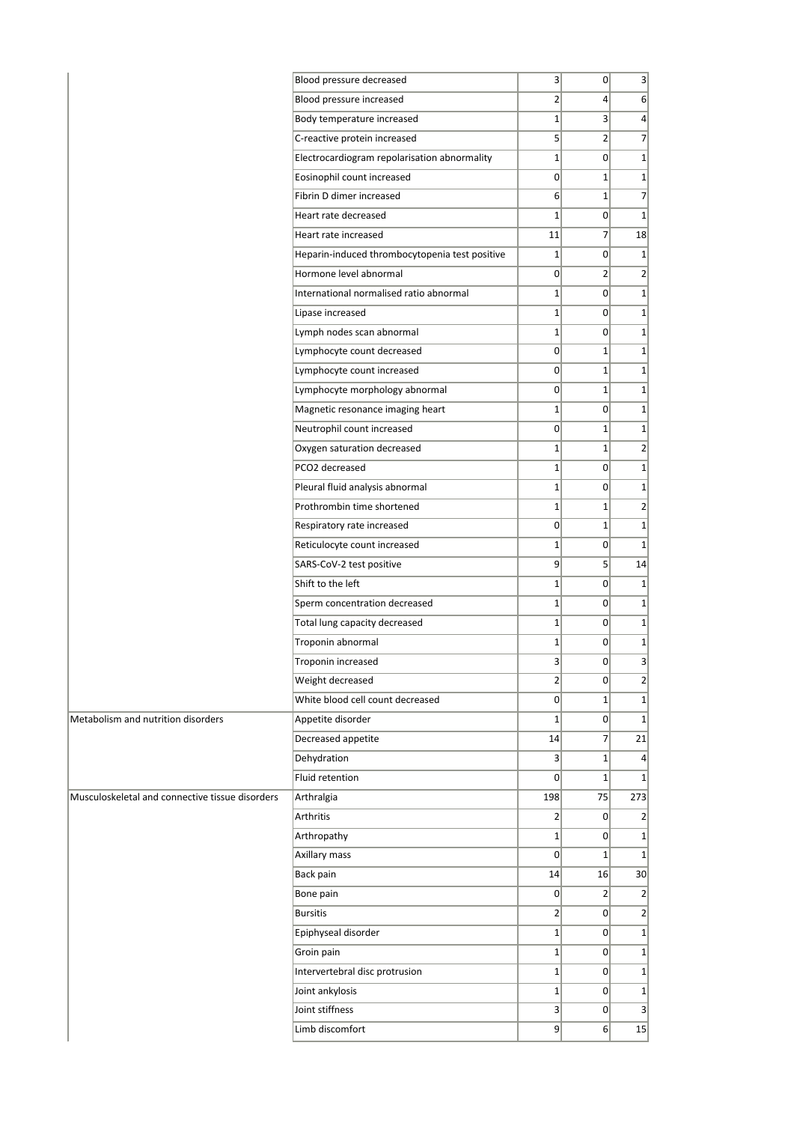|                                                 | Blood pressure decreased                       | 3               | $\mathsf{O}$    | 3 <sup>1</sup>   |
|-------------------------------------------------|------------------------------------------------|-----------------|-----------------|------------------|
|                                                 | Blood pressure increased                       | $\overline{2}$  | $\vert 4 \vert$ | $6 \mid$         |
|                                                 | Body temperature increased                     | $\mathbf{1}$    | 3               | $\vert$          |
|                                                 | C-reactive protein increased                   | $\overline{5}$  | $\overline{2}$  | $\overline{7}$   |
|                                                 | Electrocardiogram repolarisation abnormality   | $\mathbf{1}$    | 0               | $1\vert$         |
|                                                 | Eosinophil count increased                     | 0               | $1\vert$        | $1\vert$         |
|                                                 | Fibrin D dimer increased                       | 6               | $\mathbf{1}$    | $\overline{7}$   |
|                                                 | Heart rate decreased                           | $\mathbf 1$     | $\overline{0}$  | $1\overline{ }$  |
|                                                 | Heart rate increased                           | 11              | 7               | 18               |
|                                                 | Heparin-induced thrombocytopenia test positive | $\mathbf{1}$    | $\overline{0}$  | $\vert$ 1        |
|                                                 | Hormone level abnormal                         | $\overline{0}$  | $\overline{2}$  | 2                |
|                                                 | International normalised ratio abnormal        | $\mathbf{1}$    | $\mathbf{0}$    | $1\vert$         |
|                                                 | Lipase increased                               | $\mathbf{1}$    | $\overline{0}$  | $1\vert$         |
|                                                 | Lymph nodes scan abnormal                      | $\mathbf{1}$    | 0               | $1\vert$         |
|                                                 | Lymphocyte count decreased                     | 0               | $\mathbf{1}$    | $\mathbf{1}$     |
|                                                 | Lymphocyte count increased                     | 0               | $\mathbf{1}$    | $1\vert$         |
|                                                 | Lymphocyte morphology abnormal                 | 0               | $\mathbf{1}$    | $1\vert$         |
|                                                 | Magnetic resonance imaging heart               | $\mathbf{1}$    | $\overline{0}$  | $1\vert$         |
|                                                 | Neutrophil count increased                     | 0               | $\mathbf{1}$    | $1\vert$         |
|                                                 | Oxygen saturation decreased                    | $\mathbf{1}$    | $1\vert$        | $\overline{2}$   |
|                                                 | PCO2 decreased                                 | $\mathbf{1}$    | $\Omega$        | $1\vert$         |
|                                                 | Pleural fluid analysis abnormal                | $\mathbf{1}$    | $\Omega$        | $\mathbf{1}$     |
|                                                 | Prothrombin time shortened                     | $\mathbf{1}$    | $\mathbf{1}$    | 2                |
|                                                 | Respiratory rate increased                     | 0               | $\mathbf{1}$    | $1\vert$         |
|                                                 | Reticulocyte count increased                   | $\mathbf{1}$    | $\overline{0}$  | $\mathbf{1}$     |
|                                                 | SARS-CoV-2 test positive                       | 9               | 5               | 14               |
|                                                 | Shift to the left                              | $\mathbf{1}$    | $\overline{0}$  | $1\overline{ }$  |
|                                                 | Sperm concentration decreased                  | $\mathbf{1}$    | $\Omega$        | $\mathbf{1}$     |
|                                                 | Total lung capacity decreased                  | $\mathbf{1}$    | $\overline{0}$  | $\mathbf{1}$     |
|                                                 | Troponin abnormal                              | $\mathbf{1}$    | $\overline{0}$  | $1\vert$         |
|                                                 | Troponin increased                             | 3               | 0               | $\vert$          |
|                                                 | Weight decreased                               | $\overline{2}$  | $\overline{0}$  | $\left  \right $ |
|                                                 | White blood cell count decreased               | 0               | $\mathbf{1}$    | $1\vert$         |
| Metabolism and nutrition disorders              | Appetite disorder                              | $\mathbf{1}$    | $\overline{0}$  | $1\vert$         |
|                                                 | Decreased appetite                             | 14              | $\overline{7}$  | 21               |
|                                                 | Dehydration                                    | $\vert 3 \vert$ | $1\vert$        | $\vert$          |
|                                                 | Fluid retention                                | 0               | $\mathbf{1}$    | $\mathbf{1}$     |
| Musculoskeletal and connective tissue disorders | Arthralgia                                     | 198             | 75              | 273              |
|                                                 | Arthritis                                      | $\overline{2}$  | $\overline{0}$  | $\overline{2}$   |
|                                                 | Arthropathy                                    | $\mathbf 1$     | $\Omega$        | $1\vert$         |
|                                                 | Axillary mass                                  | $\mathbf{0}$    | $\mathbf{1}$    | $1\overline{ }$  |
|                                                 | Back pain                                      | 14              | 16              | 30               |
|                                                 | Bone pain                                      | 0               | $\mathbf{2}$    | $\overline{2}$   |
|                                                 | <b>Bursitis</b>                                | $\overline{2}$  | $\overline{0}$  | $\overline{2}$   |
|                                                 | Epiphyseal disorder                            | $\mathbf{1}$    | $\overline{0}$  | $1\vert$         |
|                                                 | Groin pain                                     | $\mathbf{1}$    | $\overline{0}$  | $1\vert$         |
|                                                 | Intervertebral disc protrusion                 | $\mathbf{1}$    | $\overline{0}$  | $1\vert$         |
|                                                 | Joint ankylosis                                | $\mathbf{1}$    | $\overline{0}$  | $1\vert$         |
|                                                 | Joint stiffness                                | 3               | $\overline{0}$  | $\vert$          |
|                                                 | Limb discomfort                                | 9               | 6 <sup>1</sup>  | 15               |
|                                                 |                                                |                 |                 |                  |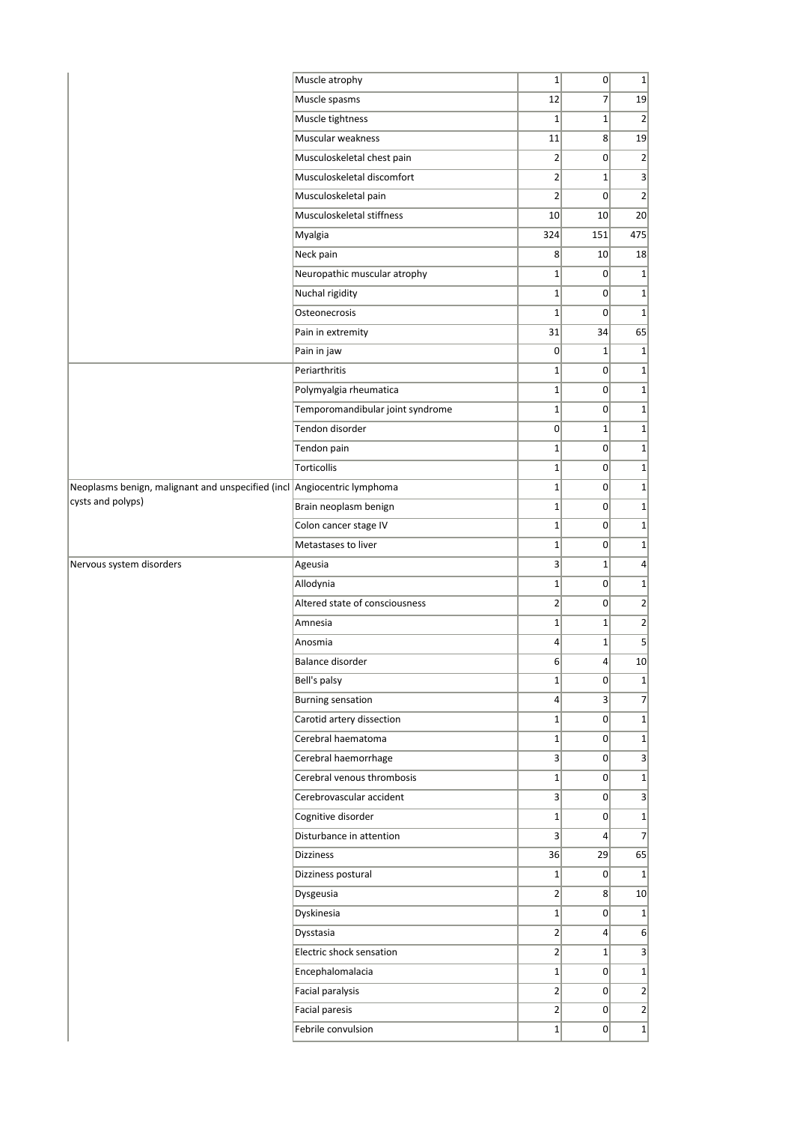|                                                                         | Muscle atrophy                   | $\mathbf{1}$     | 0               | 1               |
|-------------------------------------------------------------------------|----------------------------------|------------------|-----------------|-----------------|
|                                                                         | Muscle spasms                    | 12               | $\overline{7}$  | 19              |
|                                                                         | Muscle tightness                 | $\mathbf{1}$     | $1\vert$        | $\overline{2}$  |
|                                                                         | Muscular weakness                | 11               | 8 <sup>2</sup>  | 19              |
|                                                                         | Musculoskeletal chest pain       | 2                | 0               | $\overline{2}$  |
|                                                                         | Musculoskeletal discomfort       | $\overline{2}$   | $1\vert$        | 3               |
|                                                                         | Musculoskeletal pain             | $\overline{2}$   | 0               | $\overline{2}$  |
|                                                                         | Musculoskeletal stiffness        | 10               | 10 <sup>1</sup> | 20 <sup>2</sup> |
|                                                                         | Myalgia                          | 324              | 151             | 475             |
|                                                                         | Neck pain                        | 8 <sup>2</sup>   | 10 <sup>1</sup> | 18              |
|                                                                         | Neuropathic muscular atrophy     | $\mathbf{1}$     | 0               | $1\vert$        |
|                                                                         | Nuchal rigidity                  | $\mathbf{1}$     | 0               | $1\vert$        |
|                                                                         | Osteonecrosis                    | $\mathbf{1}$     | 0               | $1\vert$        |
|                                                                         | Pain in extremity                | 31               | 34              | 65              |
|                                                                         | Pain in jaw                      | $\mathbf 0$      | $1\vert$        | $1\vert$        |
|                                                                         | Periarthritis                    | $\mathbf{1}$     | 0               | $1\vert$        |
|                                                                         | Polymyalgia rheumatica           | $\mathbf{1}$     | $\Omega$        | $1\vert$        |
|                                                                         | Temporomandibular joint syndrome | $1\vert$         | 0               | $1\vert$        |
|                                                                         | Tendon disorder                  | $\mathbf 0$      | $\mathbf{1}$    | $1\vert$        |
|                                                                         | Tendon pain                      | $\mathbf{1}$     | 0               | $1\vert$        |
|                                                                         | Torticollis                      | $\mathbf{1}$     | 0               | $1\vert$        |
| Neoplasms benign, malignant and unspecified (incl Angiocentric lymphoma |                                  | $\mathbf{1}$     | 0               | $1\vert$        |
| cysts and polyps)                                                       | Brain neoplasm benign            | $\mathbf{1}$     | 0               | $1\vert$        |
|                                                                         | Colon cancer stage IV            | $1\vert$         | 0               | $1\vert$        |
|                                                                         | Metastases to liver              | $1\vert$         | 0               | $1\vert$        |
| Nervous system disorders                                                | Ageusia                          | $\vert 3 \vert$  | $1\vert$        | $\vert$         |
|                                                                         | Allodynia                        | $\mathbf{1}$     | $\overline{0}$  | $1\vert$        |
|                                                                         | Altered state of consciousness   | $\mathbf{2}$     | 0               | $\overline{2}$  |
|                                                                         | Amnesia                          | $\mathbf{1}$     | $\mathbf{1}$    | $\overline{2}$  |
|                                                                         | Anosmia                          | $\vert 4 \vert$  | $\mathbf{1}$    | $\vert$         |
|                                                                         | Balance disorder                 | $6 \overline{6}$ | $\overline{4}$  | 10              |
|                                                                         | Bell's palsy                     | $1\vert$         | 0               | $1\vert$        |
|                                                                         | <b>Burning sensation</b>         | $\vert 4 \vert$  | $\vert 3 \vert$ | 7               |
|                                                                         | Carotid artery dissection        | $\mathbf{1}$     | 0               | $1\vert$        |
|                                                                         | Cerebral haematoma               | $\mathbf{1}$     | 0               | $1\vert$        |
|                                                                         | Cerebral haemorrhage             | 3                | 0               | 3               |
|                                                                         | Cerebral venous thrombosis       | $1\vert$         | $\overline{0}$  | $1\vert$        |
|                                                                         | Cerebrovascular accident         | $\vert 3 \vert$  | 0               | 3               |
|                                                                         | Cognitive disorder               | $1\vert$         | 0               | $1\vert$        |
|                                                                         | Disturbance in attention         | $\vert$ 3        | $\vert$         | $\overline{7}$  |
|                                                                         | <b>Dizziness</b>                 | 36               | 29              | 65              |
|                                                                         | Dizziness postural               | $1\vert$         | 0               | $1\vert$        |
|                                                                         | Dysgeusia                        | $\overline{2}$   | 8 <sup>1</sup>  | 10 <sup>1</sup> |
|                                                                         | Dyskinesia                       | $1\vert$         | 0               | $1\vert$        |
|                                                                         | Dysstasia                        | $\overline{2}$   | $\vert$         | $6 \mid$        |
|                                                                         | Electric shock sensation         | $\overline{2}$   | $1\vert$        | 3               |
|                                                                         | Encephalomalacia                 | $1\vert$         | 0               | $1\vert$        |
|                                                                         | Facial paralysis                 | $\overline{2}$   | $\overline{0}$  | $\overline{2}$  |
|                                                                         | <b>Facial paresis</b>            | $\overline{2}$   | 0               | $\overline{2}$  |
|                                                                         | Febrile convulsion               | $1\vert$         | $\overline{0}$  | $1\vert$        |
|                                                                         |                                  |                  |                 |                 |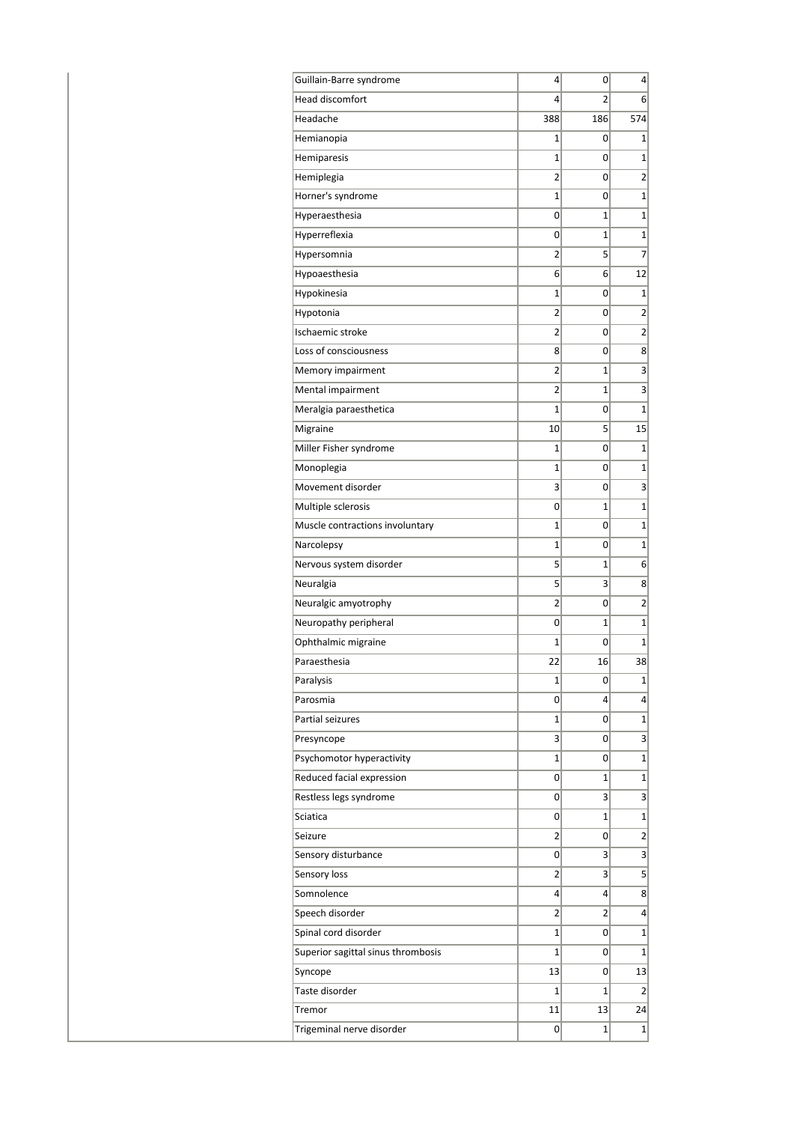| Guillain-Barre syndrome            | 4              | 0              | 4              |
|------------------------------------|----------------|----------------|----------------|
| Head discomfort                    | 4              | 2              | 6              |
| Headache                           | 388            | 186            | 574            |
| Hemianopia                         | 1              | 0              | 1              |
| Hemiparesis                        | $\mathbf{1}$   | 0              | $\mathbf{1}$   |
| Hemiplegia                         | $\overline{2}$ | 0              | $\overline{2}$ |
| Horner's syndrome                  | 1              | 0              | $\mathbf{1}$   |
| Hyperaesthesia                     | 0              | $\mathbf{1}$   | $\mathbf{1}$   |
| Hyperreflexia                      | 0              | $\mathbf{1}$   | $\mathbf 1$    |
| Hypersomnia                        | 2              | 5              | 7              |
| Hypoaesthesia                      | 6              | 6              | 12             |
| Hypokinesia                        | 1              | 0              | $\mathbf{1}$   |
| Hypotonia                          | $\overline{2}$ | 0              | $\overline{2}$ |
| Ischaemic stroke                   | 2              | 0              | $\overline{2}$ |
| Loss of consciousness              | 8              | 0              | 8              |
| Memory impairment                  | 2              | 1              | 3              |
| Mental impairment                  | 2              | 1              | 3              |
| Meralgia paraesthetica             | $\overline{1}$ | 0              | $\mathbf{1}$   |
| Migraine                           | 10             | 5              | 15             |
| Miller Fisher syndrome             | 1              | 0              | 1              |
| Monoplegia                         | $\mathbf{1}$   | 0              | $\mathbf{1}$   |
| Movement disorder                  | 3              | 0              | 3              |
| Multiple sclerosis                 | 0              | 1              | $\overline{1}$ |
| Muscle contractions involuntary    | $\mathbf{1}$   | 0              | $\mathbf{1}$   |
| Narcolepsy                         | $\mathbf{1}$   | 0              | $\mathbf{1}$   |
| Nervous system disorder            | 5              | 1              | 6              |
| Neuralgia                          | 5              | 3              | 8              |
| Neuralgic amyotrophy               | $\overline{2}$ | 0              | $\overline{2}$ |
| Neuropathy peripheral              | 0              | $\mathbf{1}$   | $\mathbf 1$    |
| Ophthalmic migraine                | $\mathbf{1}$   | 0              | $\mathbf{1}$   |
| Paraesthesia                       | 22             | 16             | 38             |
| Paralysis                          | 1              | 0              | 1              |
| Parosmia                           | 0              | 4              | $\overline{4}$ |
| Partial seizures                   | $\mathbf{1}$   | 0              | $\mathbf{1}$   |
| Presyncope                         | 3              | 0              | 3              |
| Psychomotor hyperactivity          | $\mathbf 1$    | 0              | $\mathbf{1}$   |
| Reduced facial expression          | 0              | $\mathbf{1}$   | $\mathbf{1}$   |
| Restless legs syndrome             | 0              | 3              | 3              |
| Sciatica                           | 0              | 1              | 1              |
| Seizure                            | 2              | 0              | $\overline{2}$ |
| Sensory disturbance                | 0              | 3              | 3              |
| Sensory loss                       | 2              | 3              | 5              |
| Somnolence                         | 4              | 4              | 8              |
| Speech disorder                    | $\overline{2}$ | $\overline{2}$ | 4              |
|                                    |                |                |                |
| Spinal cord disorder               | 1              | 0              | 1              |
| Superior sagittal sinus thrombosis | $\mathbf{1}$   | 0              | $\mathbf{1}$   |
| Syncope                            | 13             | 0              | 13             |
| Taste disorder                     | $\mathbf{1}$   | $\mathbf{1}$   | 2              |
| Tremor                             | 11             | 13             | 24             |
| Trigeminal nerve disorder          | 0              | 1              | 1              |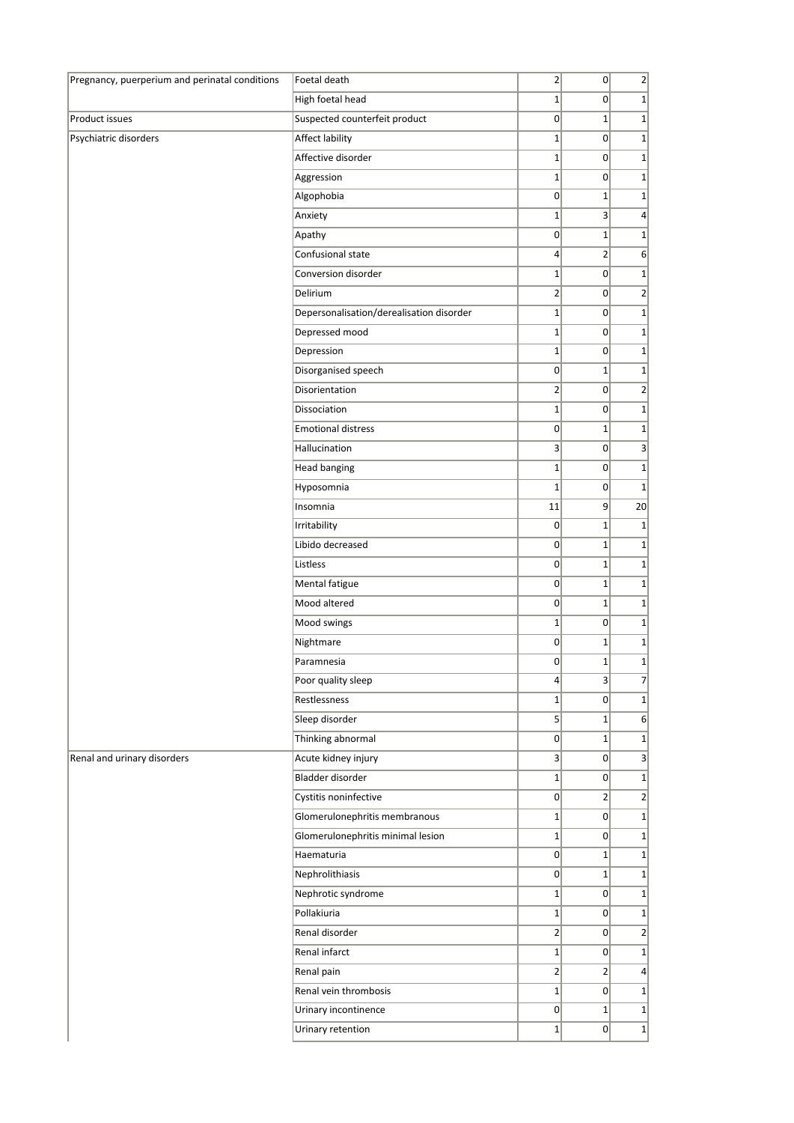| Pregnancy, puerperium and perinatal conditions | Foetal death                             | $\overline{2}$          | $\overline{0}$  | 2 <sup>2</sup>  |
|------------------------------------------------|------------------------------------------|-------------------------|-----------------|-----------------|
|                                                | High foetal head                         | $\mathbf{1}$            | 0               | $1\vert$        |
| Product issues                                 | Suspected counterfeit product            | 0                       | $\mathbf{1}$    | $1\vert$        |
| Psychiatric disorders                          | Affect lability                          | $\mathbf{1}$            | 0               | $1\vert$        |
|                                                | Affective disorder                       | $\mathbf{1}$            | $\overline{0}$  | $1\vert$        |
|                                                | Aggression                               | $1\vert$                | $\overline{0}$  | $1\vert$        |
|                                                | Algophobia                               | 0                       | $1\vert$        | $1\vert$        |
|                                                | Anxiety                                  | $\mathbf{1}$            | $\vert 3 \vert$ | $\vert$         |
|                                                | Apathy                                   | 0                       | $\mathbf{1}$    | $1\vert$        |
|                                                | Confusional state                        | $\vert$                 | $\overline{2}$  | $6 \mid$        |
|                                                | Conversion disorder                      | $1\vert$                | 0               | $1\vert$        |
|                                                | Delirium                                 | $\overline{2}$          | $\overline{0}$  | $\overline{2}$  |
|                                                | Depersonalisation/derealisation disorder | $1\vert$                | 0               | $1\vert$        |
|                                                | Depressed mood                           | $\mathbf{1}$            | 0               | $1\vert$        |
|                                                | Depression                               | $\mathbf{1}$            | $\overline{0}$  | $1\vert$        |
|                                                | Disorganised speech                      | 0                       | $1\vert$        | $1\vert$        |
|                                                | Disorientation                           | $\overline{2}$          | 0               | $\overline{2}$  |
|                                                | Dissociation                             | $\mathbf{1}$            | 0               | $1\vert$        |
|                                                | <b>Emotional distress</b>                | 0                       | $1\vert$        | $1\vert$        |
|                                                | Hallucination                            | $\overline{\mathbf{3}}$ | $\overline{0}$  | $\vert$         |
|                                                | <b>Head banging</b>                      | $\mathbf 1$             | $\overline{0}$  | $1\vert$        |
|                                                | Hyposomnia                               | $\mathbf 1$             | 0               | $1\overline{ }$ |
|                                                | Insomnia                                 | 11                      | 9               | 20              |
|                                                | Irritability                             | $\pmb{0}$               | $\mathbf{1}$    | $1\vert$        |
|                                                | Libido decreased                         | 0                       | $1\vert$        | $1\vert$        |
|                                                | Listless                                 | 0                       | $1\vert$        | $1\vert$        |
|                                                | Mental fatigue                           | 0                       | $1\vert$        | $1\vert$        |
|                                                | Mood altered                             | 0                       | $\mathbf{1}$    | $1\vert$        |
|                                                | Mood swings                              | $\mathbf{1}$            | $\overline{0}$  | $\mathbf{1}$    |
|                                                | Nightmare                                | 0                       | $1\vert$        | $1\vert$        |
|                                                | Paramnesia                               | 0                       | $1\vert$        | $1\vert$        |
|                                                | Poor quality sleep                       | $\vert 4 \vert$         | $\vert$ 3       | 7               |
|                                                | Restlessness                             | $\mathbf{1}$            | 0               | $1\vert$        |
|                                                | Sleep disorder                           | $5\overline{)}$         | $1\vert$        | 6               |
|                                                | Thinking abnormal                        | $\overline{0}$          | $1\vert$        | $1\vert$        |
| Renal and urinary disorders                    | Acute kidney injury                      | 3                       | $\overline{0}$  | $\vert$         |
|                                                | Bladder disorder                         | $1\vert$                | $\overline{0}$  | $1\vert$        |
|                                                | Cystitis noninfective                    | 0                       | 2               | $\overline{2}$  |
|                                                | Glomerulonephritis membranous            | $1\vert$                | $\overline{0}$  | $1\vert$        |
|                                                | Glomerulonephritis minimal lesion        | $\mathbf{1}$            | $\overline{0}$  | $1\vert$        |
|                                                | Haematuria                               | $\overline{0}$          | $1\vert$        | $\mathbf{1}$    |
|                                                | Nephrolithiasis                          | $\overline{0}$          | $1\vert$        | $1\vert$        |
|                                                | Nephrotic syndrome                       | $\mathbf{1}$            | 0               | $1\vert$        |
|                                                | Pollakiuria                              | $1\vert$                | $\overline{0}$  | $1\vert$        |
|                                                | Renal disorder                           | $\overline{2}$          | 0               | $\overline{2}$  |
|                                                | Renal infarct                            | $\mathbf{1}$            | $\overline{0}$  | $1\vert$        |
|                                                | Renal pain                               | 2                       | 2               | $\vert$         |
|                                                | Renal vein thrombosis                    | $\mathbf{1}$            | $\overline{0}$  | $\mathbf{1}$    |
|                                                | Urinary incontinence                     | 0                       | $1\vert$        | $1\vert$        |
|                                                | Urinary retention                        | $1\vert$                | $\overline{0}$  | $1\vert$        |
|                                                |                                          |                         |                 |                 |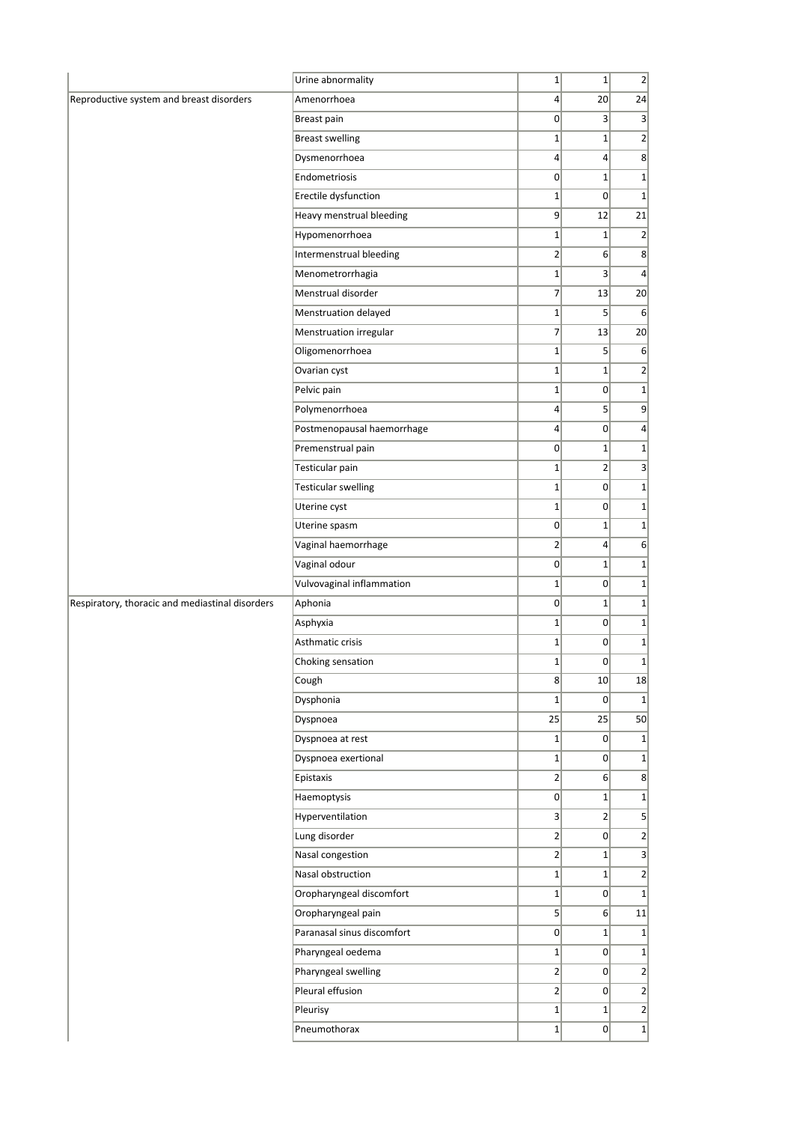|                                                 | Urine abnormality          | $1\vert$        | $1\vert$        | $\overline{2}$ |
|-------------------------------------------------|----------------------------|-----------------|-----------------|----------------|
| Reproductive system and breast disorders        | Amenorrhoea                | $\overline{4}$  | 20 <sup>2</sup> | 24             |
|                                                 | Breast pain                | 0               | $\vert$ 3       | $\vert$ 3      |
|                                                 | <b>Breast swelling</b>     | $\mathbf{1}$    | $\mathbf{1}$    | $\overline{2}$ |
|                                                 | Dysmenorrhoea              | $\vert 4 \vert$ | $\vert$         | 8              |
|                                                 | Endometriosis              | 0               | $1\vert$        | $1\vert$       |
|                                                 | Erectile dysfunction       | $\mathbf{1}$    | $\mathbf{0}$    | $\mathbf{1}$   |
|                                                 | Heavy menstrual bleeding   | 9               | 12              | 21             |
|                                                 | Hypomenorrhoea             | $1\vert$        | $\mathbf{1}$    | $\overline{2}$ |
|                                                 | Intermenstrual bleeding    | $\overline{2}$  | 6 <sup>1</sup>  | 8 <sup>2</sup> |
|                                                 | Menometrorrhagia           | $\mathbf{1}$    | 3 <sup>2</sup>  | $\vert$        |
|                                                 | Menstrual disorder         | $\overline{7}$  | 13              | 20             |
|                                                 | Menstruation delayed       | $1\vert$        | 5               | $6 \mid$       |
|                                                 | Menstruation irregular     | $\overline{7}$  | 13              | 20             |
|                                                 | Oligomenorrhoea            | $1\vert$        | $5\overline{)}$ | $6 \mid$       |
|                                                 | Ovarian cyst               | $\mathbf{1}$    | $\mathbf{1}$    | $\overline{2}$ |
|                                                 | Pelvic pain                | $1\vert$        | 0               | $1\vert$       |
|                                                 | Polymenorrhoea             | $\vert 4 \vert$ | 5 <sup>1</sup>  | 9              |
|                                                 | Postmenopausal haemorrhage | $\vert 4 \vert$ | $\overline{0}$  | $\vert$        |
|                                                 | Premenstrual pain          | 0               | $1\vert$        | $1\vert$       |
|                                                 | Testicular pain            | $\mathbf{1}$    | $\overline{2}$  | 3              |
|                                                 | <b>Testicular swelling</b> | $1\vert$        | 0               | $\mathbf{1}$   |
|                                                 | Uterine cyst               | $1\vert$        | $\overline{0}$  | $1\vert$       |
|                                                 | Uterine spasm              | 0               | $\mathbf{1}$    | $1\vert$       |
|                                                 | Vaginal haemorrhage        | $\mathbf{2}$    | $\vert 4 \vert$ | 6              |
|                                                 | Vaginal odour              | $\overline{0}$  | $\mathbf{1}$    | $1\vert$       |
|                                                 | Vulvovaginal inflammation  | $1\vert$        | $\overline{0}$  | $1\vert$       |
| Respiratory, thoracic and mediastinal disorders | Aphonia                    | $\overline{0}$  | $1\vert$        | $1\vert$       |
|                                                 | Asphyxia                   | $1\vert$        | 0               | $1\vert$       |
|                                                 | Asthmatic crisis           | $\mathbf{1}$    | 0               | $1\vert$       |
|                                                 | Choking sensation          | $1\vert$        | $\overline{0}$  |                |
|                                                 | Cough                      | 8 <sup>2</sup>  | 10              | 18             |
|                                                 | Dysphonia                  | $1\vert$        | 0               | $1\vert$       |
|                                                 | Dyspnoea                   | 25              | 25              | 50             |
|                                                 | Dyspnoea at rest           | $1\vert$        | 0               | $1\vert$       |
|                                                 | Dyspnoea exertional        | $1\vert$        | $\overline{0}$  | $1\vert$       |
|                                                 | Epistaxis                  | $\mathbf{2}$    | 6 <sup>1</sup>  | 8 <sup>2</sup> |
|                                                 | Haemoptysis                | $\sigma$        | $1\vert$        | $1\vert$       |
|                                                 | Hyperventilation           | $\vert$         | 2               | $\vert$        |
|                                                 | Lung disorder              | $\overline{2}$  | 0               | $\overline{2}$ |
|                                                 | Nasal congestion           | $\overline{2}$  | $1\vert$        | $\vert$        |
|                                                 | Nasal obstruction          | $1\vert$        | $\mathbf{1}$    | 2              |
|                                                 | Oropharyngeal discomfort   | $1\vert$        | $\overline{0}$  | $1\vert$       |
|                                                 | Oropharyngeal pain         | 5 <sup>2</sup>  | 6               | 11             |
|                                                 | Paranasal sinus discomfort | 0               | $1\vert$        | $1\vert$       |
|                                                 | Pharyngeal oedema          | $1\vert$        | $\overline{0}$  | $1\vert$       |
|                                                 | Pharyngeal swelling        | $\overline{2}$  | 0               | 2              |
|                                                 | Pleural effusion           | $\overline{2}$  | $\overline{0}$  | $\overline{2}$ |
|                                                 | Pleurisy                   | $1\vert$        | $1\vert$        | 2              |
|                                                 | Pneumothorax               | $1\vert$        | $\overline{0}$  | $\overline{1}$ |
|                                                 |                            |                 |                 |                |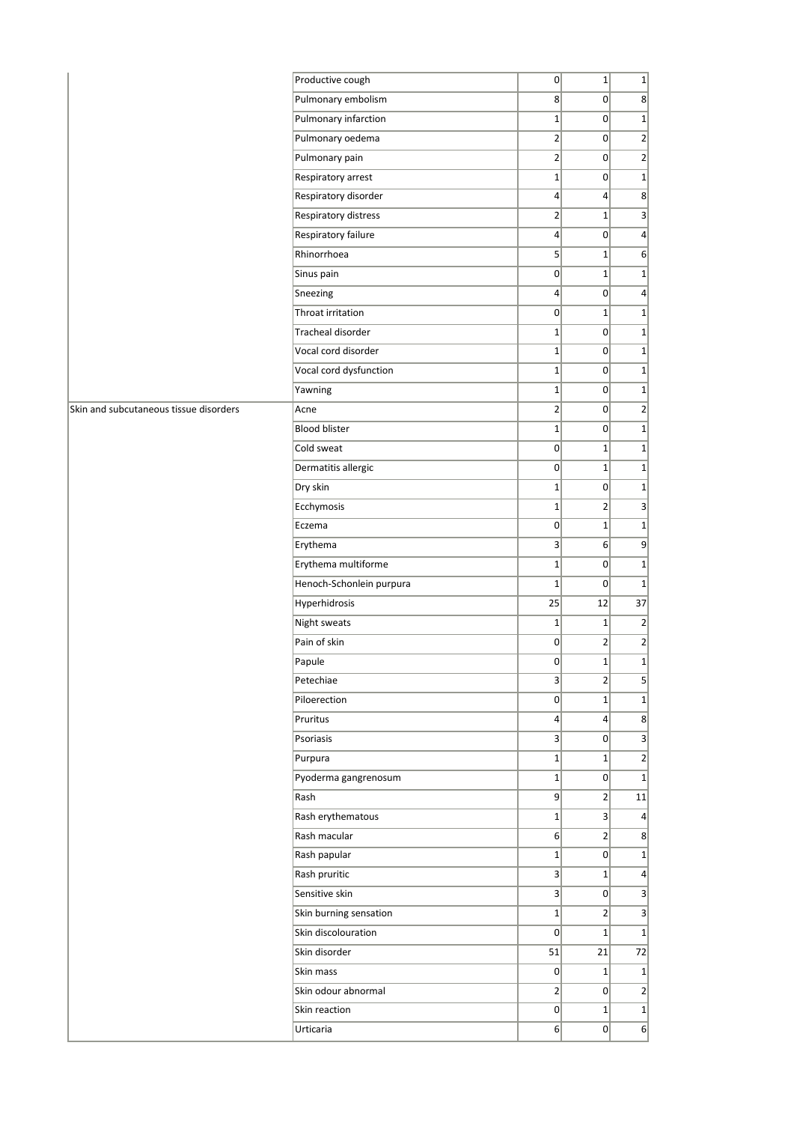|                                        | Productive cough         | 0               | $1\vert$        | $1\vert$         |
|----------------------------------------|--------------------------|-----------------|-----------------|------------------|
|                                        | Pulmonary embolism       | 8 <sup>2</sup>  | 0               | $8^{\circ}$      |
|                                        | Pulmonary infarction     | $1\vert$        | 0               | $1\vert$         |
|                                        | Pulmonary oedema         | $\overline{2}$  | $\overline{0}$  | $\overline{2}$   |
|                                        | Pulmonary pain           | $\overline{2}$  | $\overline{0}$  | $\overline{2}$   |
|                                        | Respiratory arrest       | $1\vert$        | 0               | $\overline{1}$   |
|                                        | Respiratory disorder     | $\vert 4 \vert$ | $\vert$         | $\vert$          |
|                                        | Respiratory distress     | 2               | $1\vert$        | $\overline{3}$   |
|                                        | Respiratory failure      | $\vert$         | 0               | $\vert$          |
|                                        | Rhinorrhoea              | $\overline{5}$  | $1\vert$        | 6                |
|                                        | Sinus pain               | 0               | $1\vert$        | $1\vert$         |
|                                        | Sneezing                 | $\vert$         | 0               | $\left 4\right $ |
|                                        | Throat irritation        | 0               | $1\vert$        | $1\vert$         |
|                                        | Tracheal disorder        | $1\vert$        | 0               | 1                |
|                                        | Vocal cord disorder      | $1\vert$        | 0               | $1\vert$         |
|                                        | Vocal cord dysfunction   | $1\vert$        | 0               | $1\vert$         |
|                                        | Yawning                  | $\mathbf{1}$    | $\overline{0}$  | $1\vert$         |
| Skin and subcutaneous tissue disorders | Acne                     | $\overline{2}$  | 0               | $\overline{2}$   |
|                                        | <b>Blood blister</b>     | $1\vert$        | 0               | $1\vert$         |
|                                        | Cold sweat               | 0               | $1\vert$        | $1\vert$         |
|                                        | Dermatitis allergic      | 0               | $1\vert$        | $1\vert$         |
|                                        | Dry skin                 | $1\vert$        | 0               | $1\vert$         |
|                                        | Ecchymosis               | $1\vert$        | $\overline{2}$  | $\vert$          |
|                                        | Eczema                   | 0               | $1\vert$        | $1\vert$         |
|                                        | Erythema                 | 3               | 6               | 9                |
|                                        | Erythema multiforme      | $1\vert$        | 0               | $\overline{1}$   |
|                                        | Henoch-Schonlein purpura | $\mathbf{1}$    | $\overline{0}$  | $\overline{1}$   |
|                                        | Hyperhidrosis            | 25              | 12              | 37               |
|                                        | Night sweats             | $\mathbf{1}$    | $1\vert$        | $\left  \right $ |
|                                        | Pain of skin             | 0               | 2               | $\overline{2}$   |
|                                        | Papule                   | 0               | $1\vert$        | $1\vert$         |
|                                        | Petechiae                | $\vert$ 3       | 2               | $\overline{5}$   |
|                                        | Piloerection             | 0               | $1\vert$        | $1\vert$         |
|                                        | Pruritus                 | $\vert$         | $\vert 4 \vert$ | $\vert$          |
|                                        | Psoriasis                | 3               | 0               | $\overline{3}$   |
|                                        | Purpura                  | $1\vert$        | $1\vert$        | $\left  \right $ |
|                                        | Pyoderma gangrenosum     | $1\vert$        | 0               | 1                |
|                                        | Rash                     | 9               | 2 <sup>2</sup>  | 11               |
|                                        | Rash erythematous        | $1\vert$        | 3               | $\left 4\right $ |
|                                        | Rash macular             | 6               | $\overline{2}$  | $\vert$          |
|                                        | Rash papular             | $1\vert$        | 0               | $1\vert$         |
|                                        | Rash pruritic            | 3               | $1\vert$        | $\left 4\right $ |
|                                        | Sensitive skin           | 3 <sup>2</sup>  | 0               | $\overline{3}$   |
|                                        |                          |                 |                 |                  |
|                                        | Skin burning sensation   | $1\vert$        | 2               | $\overline{3}$   |
|                                        | Skin discolouration      | 0               | $1\vert$        | $\overline{1}$   |
|                                        | Skin disorder            | 51              | 21              | 72               |
|                                        | Skin mass                | 0               | $1\vert$        | 1                |
|                                        | Skin odour abnormal      | $\overline{2}$  | $\overline{0}$  | $\overline{2}$   |
|                                        | Skin reaction            | 0               | $1\vert$        | $\overline{1}$   |
|                                        | Urticaria                | 6               | 0               | 6                |